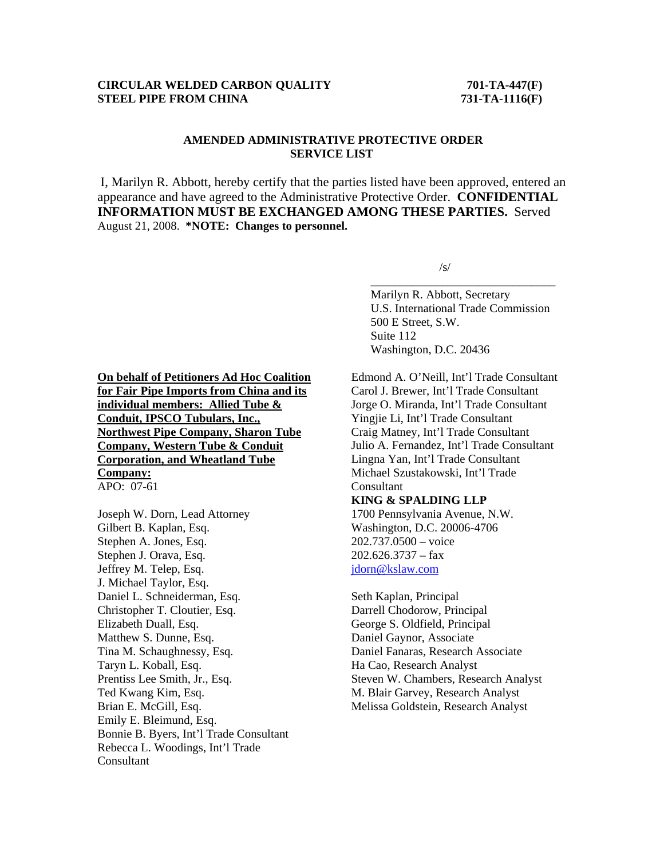## **CIRCULAR WELDED CARBON QUALITY 701-TA-447(F) STEEL PIPE FROM CHINA** 731-TA-1116(F)

## **AMENDED ADMINISTRATIVE PROTECTIVE ORDER SERVICE LIST**

I, Marilyn R. Abbott, hereby certify that the parties listed have been approved, entered an appearance and have agreed to the Administrative Protective Order. **CONFIDENTIAL INFORMATION MUST BE EXCHANGED AMONG THESE PARTIES.** Served August 21, 2008. **\*NOTE: Changes to personnel.** 

 $\sqrt{s}$ /s/

 $\overline{\phantom{a}}$  , and the contract of the contract of the contract of the contract of the contract of the contract of the contract of the contract of the contract of the contract of the contract of the contract of the contrac

 Marilyn R. Abbott, Secretary U.S. International Trade Commission 500 E Street, S.W. Suite 112 Washington, D.C. 20436

**On behalf of Petitioners Ad Hoc Coalition for Fair Pipe Imports from China and its individual members: Allied Tube & Conduit, IPSCO Tubulars, Inc., Northwest Pipe Company, Sharon Tube Company, Western Tube & Conduit Corporation, and Wheatland Tube Company:** APO: 07-61

Joseph W. Dorn, Lead Attorney Gilbert B. Kaplan, Esq. Stephen A. Jones, Esq. Stephen J. Orava, Esq. Jeffrey M. Telep, Esq. J. Michael Taylor, Esq. Daniel L. Schneiderman, Esq. Christopher T. Cloutier, Esq. Elizabeth Duall, Esq. Matthew S. Dunne, Esq. Tina M. Schaughnessy, Esq. Taryn L. Koball, Esq. Prentiss Lee Smith, Jr., Esq. Ted Kwang Kim, Esq. Brian E. McGill, Esq. Emily E. Bleimund, Esq. Bonnie B. Byers, Int'l Trade Consultant Rebecca L. Woodings, Int'l Trade Consultant

Edmond A. O'Neill, Int'l Trade Consultant Carol J. Brewer, Int'l Trade Consultant Jorge O. Miranda, Int'l Trade Consultant Yingjie Li, Int'l Trade Consultant Craig Matney, Int'l Trade Consultant Julio A. Fernandez, Int'l Trade Consultant Lingna Yan, Int'l Trade Consultant Michael Szustakowski, Int'l Trade Consultant

## **KING & SPALDING LLP**

1700 Pennsylvania Avenue, N.W. Washington, D.C. 20006-4706 202.737.0500 – voice  $202.626.3737 - fax$ jdorn@kslaw.com

Seth Kaplan, Principal Darrell Chodorow, Principal George S. Oldfield, Principal Daniel Gaynor, Associate Daniel Fanaras, Research Associate Ha Cao, Research Analyst Steven W. Chambers, Research Analyst M. Blair Garvey, Research Analyst Melissa Goldstein, Research Analyst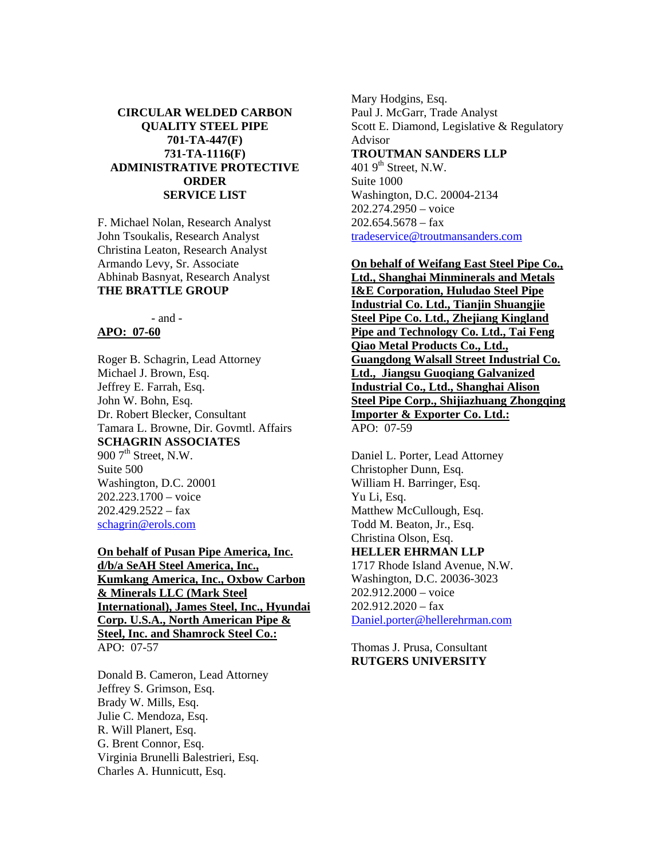## **CIRCULAR WELDED CARBON QUALITY STEEL PIPE 701-TA-447(F) 731-TA-1116(F) ADMINISTRATIVE PROTECTIVE ORDER SERVICE LIST**

F. Michael Nolan, Research Analyst John Tsoukalis, Research Analyst Christina Leaton, Research Analyst Armando Levy, Sr. Associate Abhinab Basnyat, Research Analyst **THE BRATTLE GROUP**

- and -

## **APO: 07-60**

Roger B. Schagrin, Lead Attorney Michael J. Brown, Esq. Jeffrey E. Farrah, Esq. John W. Bohn, Esq. Dr. Robert Blecker, Consultant Tamara L. Browne, Dir. Govmtl. Affairs **SCHAGRIN ASSOCIATES** 900  $7<sup>th</sup>$  Street, N.W. Suite 500 Washington, D.C. 20001 202.223.1700 – voice  $202.429.2522 - fax$ schagrin@erols.com

**On behalf of Pusan Pipe America, Inc. d/b/a SeAH Steel America, Inc., Kumkang America, Inc., Oxbow Carbon & Minerals LLC (Mark Steel International), James Steel, Inc., Hyundai Corp. U.S.A., North American Pipe & Steel, Inc. and Shamrock Steel Co.:** APO: 07-57

Donald B. Cameron, Lead Attorney Jeffrey S. Grimson, Esq. Brady W. Mills, Esq. Julie C. Mendoza, Esq. R. Will Planert, Esq. G. Brent Connor, Esq. Virginia Brunelli Balestrieri, Esq. Charles A. Hunnicutt, Esq.

Mary Hodgins, Esq. Paul J. McGarr, Trade Analyst Scott E. Diamond, Legislative & Regulatory Advisor **TROUTMAN SANDERS LLP** 401  $9<sup>th</sup>$  Street, N.W. Suite 1000 Washington, D.C. 20004-2134 202.274.2950 – voice  $202.654.5678 - fax$ tradeservice@troutmansanders.com

**On behalf of Weifang East Steel Pipe Co., Ltd., Shanghai Minminerals and Metals I&E Corporation, Huludao Steel Pipe Industrial Co. Ltd., Tianjin Shuangjie Steel Pipe Co. Ltd., Zhejiang Kingland Pipe and Technology Co. Ltd., Tai Feng Qiao Metal Products Co., Ltd., Guangdong Walsall Street Industrial Co. Ltd., Jiangsu Guoqiang Galvanized Industrial Co., Ltd., Shanghai Alison Steel Pipe Corp., Shijiazhuang Zhongqing Importer & Exporter Co. Ltd.:** APO: 07-59

Daniel L. Porter, Lead Attorney Christopher Dunn, Esq. William H. Barringer, Esq. Yu Li, Esq. Matthew McCullough, Esq. Todd M. Beaton, Jr., Esq. Christina Olson, Esq. **HELLER EHRMAN LLP**  1717 Rhode Island Avenue, N.W. Washington, D.C. 20036-3023 202.912.2000 – voice  $202.912.2020 - fax$ Daniel.porter@hellerehrman.com

Thomas J. Prusa, Consultant **RUTGERS UNIVERSITY**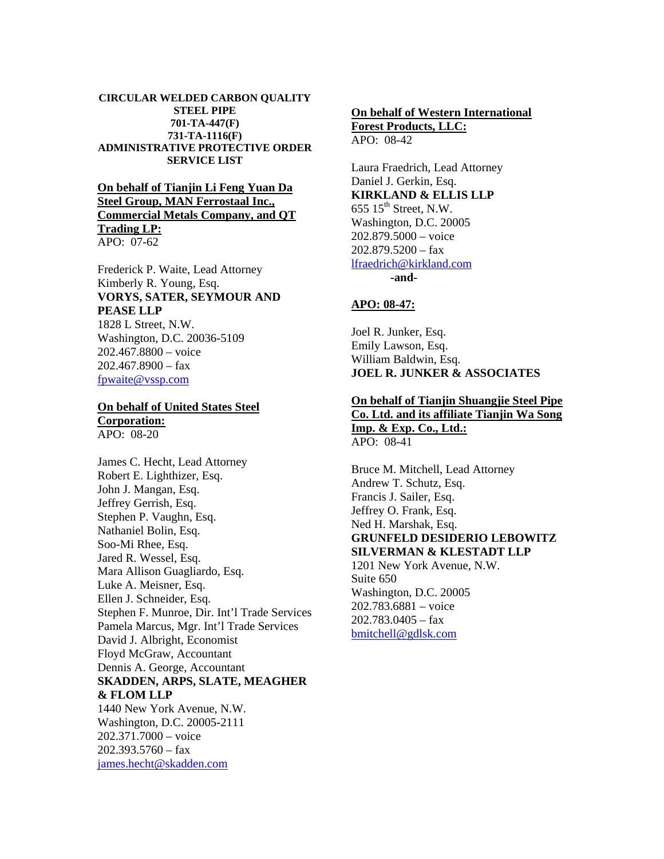#### **CIRCULAR WELDED CARBON QUALITY STEEL PIPE 701-TA-447(F) 731-TA-1116(F) ADMINISTRATIVE PROTECTIVE ORDER SERVICE LIST**

## **On behalf of Tianjin Li Feng Yuan Da Steel Group, MAN Ferrostaal Inc., Commercial Metals Company, and QT Trading LP:** APO: 07-62

Frederick P. Waite, Lead Attorney Kimberly R. Young, Esq. **VORYS, SATER, SEYMOUR AND PEASE LLP** 1828 L Street, N.W.

Washington, D.C. 20036-5109 202.467.8800 – voice  $202.467.8900 - f$ ax fpwaite@vssp.com

## **On behalf of United States Steel Corporation:**

APO: 08-20

James C. Hecht, Lead Attorney Robert E. Lighthizer, Esq. John J. Mangan, Esq. Jeffrey Gerrish, Esq. Stephen P. Vaughn, Esq. Nathaniel Bolin, Esq. Soo-Mi Rhee, Esq. Jared R. Wessel, Esq. Mara Allison Guagliardo, Esq. Luke A. Meisner, Esq. Ellen J. Schneider, Esq. Stephen F. Munroe, Dir. Int'l Trade Services Pamela Marcus, Mgr. Int'l Trade Services David J. Albright, Economist Floyd McGraw, Accountant Dennis A. George, Accountant **SKADDEN, ARPS, SLATE, MEAGHER & FLOM LLP** 1440 New York Avenue, N.W. Washington, D.C. 20005-2111 202.371.7000 – voice 202.393.5760 – fax

james.hecht@skadden.com

# **On behalf of Western International**

**Forest Products, LLC:** APO: 08-42

Laura Fraedrich, Lead Attorney Daniel J. Gerkin, Esq. **KIRKLAND & ELLIS LLP**  $655$   $15^{\text{th}}$  Street, N.W. Washington, D.C. 20005 202.879.5000 – voice  $202.879.5200 - fax$ lfraedrich@kirkland.com

 **-and-**

## **APO: 08-47:**

Joel R. Junker, Esq. Emily Lawson, Esq. William Baldwin, Esq. **JOEL R. JUNKER & ASSOCIATES** 

## **On behalf of Tianjin Shuangjie Steel Pipe Co. Ltd. and its affiliate Tianjin Wa Song Imp. & Exp. Co., Ltd.:**

APO: 08-41

Bruce M. Mitchell, Lead Attorney Andrew T. Schutz, Esq. Francis J. Sailer, Esq. Jeffrey O. Frank, Esq. Ned H. Marshak, Esq. **GRUNFELD DESIDERIO LEBOWITZ SILVERMAN & KLESTADT LLP** 1201 New York Avenue, N.W. Suite 650 Washington, D.C. 20005 202.783.6881 – voice 202.783.0405 – fax bmitchell@gdlsk.com